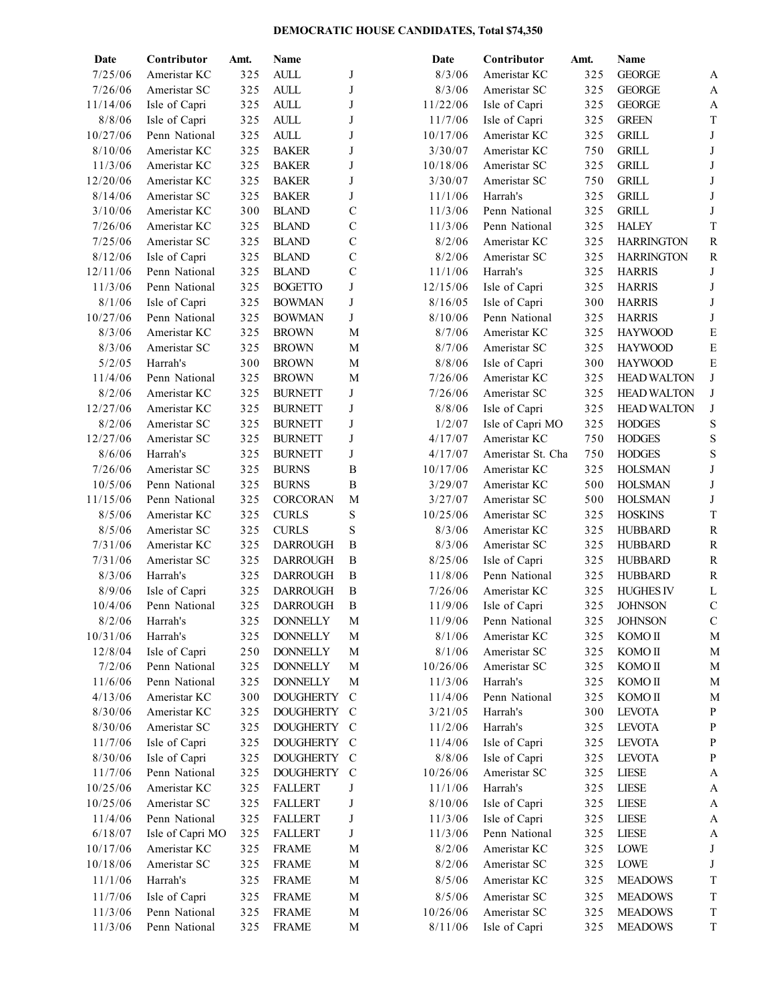## **DEMOCRATIC HOUSE CANDIDATES, Total \$74,350**

| Contributor   | Amt.                                                                                                                                                                                                                                                                                                                                                                                                                                                                                                                                                                                                                                                      | Name                                                                                                                                                                                                                                                                                                            |                                                                                                                                                                                                                                                                                                                                                                                                                                                                                                                                                                                                                                                                                                                                                             | Date                                                                                                                                                                                                                                                                                                                                          | Contributor                                                                                                                                                                                                                                                                                                                                                                                                                                             | Amt.                                                                                                                                                                                                                                                                                                                                                                                                                                                                                                                                                                                                                                                            | Name                                                                                                                                                                                                                                                                                                             |                                                                                                                                                                                                                                                                                                                                                                                                                                                                                                                                                                                                                                                                                                     |
|---------------|-----------------------------------------------------------------------------------------------------------------------------------------------------------------------------------------------------------------------------------------------------------------------------------------------------------------------------------------------------------------------------------------------------------------------------------------------------------------------------------------------------------------------------------------------------------------------------------------------------------------------------------------------------------|-----------------------------------------------------------------------------------------------------------------------------------------------------------------------------------------------------------------------------------------------------------------------------------------------------------------|-------------------------------------------------------------------------------------------------------------------------------------------------------------------------------------------------------------------------------------------------------------------------------------------------------------------------------------------------------------------------------------------------------------------------------------------------------------------------------------------------------------------------------------------------------------------------------------------------------------------------------------------------------------------------------------------------------------------------------------------------------------|-----------------------------------------------------------------------------------------------------------------------------------------------------------------------------------------------------------------------------------------------------------------------------------------------------------------------------------------------|---------------------------------------------------------------------------------------------------------------------------------------------------------------------------------------------------------------------------------------------------------------------------------------------------------------------------------------------------------------------------------------------------------------------------------------------------------|-----------------------------------------------------------------------------------------------------------------------------------------------------------------------------------------------------------------------------------------------------------------------------------------------------------------------------------------------------------------------------------------------------------------------------------------------------------------------------------------------------------------------------------------------------------------------------------------------------------------------------------------------------------------|------------------------------------------------------------------------------------------------------------------------------------------------------------------------------------------------------------------------------------------------------------------------------------------------------------------|-----------------------------------------------------------------------------------------------------------------------------------------------------------------------------------------------------------------------------------------------------------------------------------------------------------------------------------------------------------------------------------------------------------------------------------------------------------------------------------------------------------------------------------------------------------------------------------------------------------------------------------------------------------------------------------------------------|
| Ameristar KC  | 325                                                                                                                                                                                                                                                                                                                                                                                                                                                                                                                                                                                                                                                       | <b>AULL</b>                                                                                                                                                                                                                                                                                                     | J                                                                                                                                                                                                                                                                                                                                                                                                                                                                                                                                                                                                                                                                                                                                                           | 8/3/06                                                                                                                                                                                                                                                                                                                                        | Ameristar KC                                                                                                                                                                                                                                                                                                                                                                                                                                            | 325                                                                                                                                                                                                                                                                                                                                                                                                                                                                                                                                                                                                                                                             | <b>GEORGE</b>                                                                                                                                                                                                                                                                                                    | A                                                                                                                                                                                                                                                                                                                                                                                                                                                                                                                                                                                                                                                                                                   |
| Ameristar SC  | 325                                                                                                                                                                                                                                                                                                                                                                                                                                                                                                                                                                                                                                                       | $\mbox{AULL}$                                                                                                                                                                                                                                                                                                   | J                                                                                                                                                                                                                                                                                                                                                                                                                                                                                                                                                                                                                                                                                                                                                           | 8/3/06                                                                                                                                                                                                                                                                                                                                        | Ameristar SC                                                                                                                                                                                                                                                                                                                                                                                                                                            | 325                                                                                                                                                                                                                                                                                                                                                                                                                                                                                                                                                                                                                                                             | <b>GEORGE</b>                                                                                                                                                                                                                                                                                                    | A                                                                                                                                                                                                                                                                                                                                                                                                                                                                                                                                                                                                                                                                                                   |
| Isle of Capri | 325                                                                                                                                                                                                                                                                                                                                                                                                                                                                                                                                                                                                                                                       | $\mbox{\bf ALL}$                                                                                                                                                                                                                                                                                                | J                                                                                                                                                                                                                                                                                                                                                                                                                                                                                                                                                                                                                                                                                                                                                           | 11/22/06                                                                                                                                                                                                                                                                                                                                      | Isle of Capri                                                                                                                                                                                                                                                                                                                                                                                                                                           | 325                                                                                                                                                                                                                                                                                                                                                                                                                                                                                                                                                                                                                                                             | <b>GEORGE</b>                                                                                                                                                                                                                                                                                                    | A                                                                                                                                                                                                                                                                                                                                                                                                                                                                                                                                                                                                                                                                                                   |
| Isle of Capri | 325                                                                                                                                                                                                                                                                                                                                                                                                                                                                                                                                                                                                                                                       | $\mbox{AULL}$                                                                                                                                                                                                                                                                                                   | J                                                                                                                                                                                                                                                                                                                                                                                                                                                                                                                                                                                                                                                                                                                                                           | 11/7/06                                                                                                                                                                                                                                                                                                                                       | Isle of Capri                                                                                                                                                                                                                                                                                                                                                                                                                                           | 325                                                                                                                                                                                                                                                                                                                                                                                                                                                                                                                                                                                                                                                             | <b>GREEN</b>                                                                                                                                                                                                                                                                                                     | $\mathbf T$                                                                                                                                                                                                                                                                                                                                                                                                                                                                                                                                                                                                                                                                                         |
| Penn National | 325                                                                                                                                                                                                                                                                                                                                                                                                                                                                                                                                                                                                                                                       | $\mbox{AULL}$                                                                                                                                                                                                                                                                                                   | J                                                                                                                                                                                                                                                                                                                                                                                                                                                                                                                                                                                                                                                                                                                                                           | 10/17/06                                                                                                                                                                                                                                                                                                                                      | Ameristar KC                                                                                                                                                                                                                                                                                                                                                                                                                                            | 325                                                                                                                                                                                                                                                                                                                                                                                                                                                                                                                                                                                                                                                             | <b>GRILL</b>                                                                                                                                                                                                                                                                                                     | J                                                                                                                                                                                                                                                                                                                                                                                                                                                                                                                                                                                                                                                                                                   |
| Ameristar KC  | 325                                                                                                                                                                                                                                                                                                                                                                                                                                                                                                                                                                                                                                                       | <b>BAKER</b>                                                                                                                                                                                                                                                                                                    | J                                                                                                                                                                                                                                                                                                                                                                                                                                                                                                                                                                                                                                                                                                                                                           | 3/30/07                                                                                                                                                                                                                                                                                                                                       | Ameristar KC                                                                                                                                                                                                                                                                                                                                                                                                                                            | 750                                                                                                                                                                                                                                                                                                                                                                                                                                                                                                                                                                                                                                                             | <b>GRILL</b>                                                                                                                                                                                                                                                                                                     | J                                                                                                                                                                                                                                                                                                                                                                                                                                                                                                                                                                                                                                                                                                   |
| Ameristar KC  | 325                                                                                                                                                                                                                                                                                                                                                                                                                                                                                                                                                                                                                                                       | <b>BAKER</b>                                                                                                                                                                                                                                                                                                    | J                                                                                                                                                                                                                                                                                                                                                                                                                                                                                                                                                                                                                                                                                                                                                           | 10/18/06                                                                                                                                                                                                                                                                                                                                      | Ameristar SC                                                                                                                                                                                                                                                                                                                                                                                                                                            | 325                                                                                                                                                                                                                                                                                                                                                                                                                                                                                                                                                                                                                                                             | <b>GRILL</b>                                                                                                                                                                                                                                                                                                     | J                                                                                                                                                                                                                                                                                                                                                                                                                                                                                                                                                                                                                                                                                                   |
| Ameristar KC  | 325                                                                                                                                                                                                                                                                                                                                                                                                                                                                                                                                                                                                                                                       | <b>BAKER</b>                                                                                                                                                                                                                                                                                                    | J                                                                                                                                                                                                                                                                                                                                                                                                                                                                                                                                                                                                                                                                                                                                                           | 3/30/07                                                                                                                                                                                                                                                                                                                                       | Ameristar SC                                                                                                                                                                                                                                                                                                                                                                                                                                            | 750                                                                                                                                                                                                                                                                                                                                                                                                                                                                                                                                                                                                                                                             | <b>GRILL</b>                                                                                                                                                                                                                                                                                                     | J                                                                                                                                                                                                                                                                                                                                                                                                                                                                                                                                                                                                                                                                                                   |
| Ameristar SC  | 325                                                                                                                                                                                                                                                                                                                                                                                                                                                                                                                                                                                                                                                       | <b>BAKER</b>                                                                                                                                                                                                                                                                                                    | J                                                                                                                                                                                                                                                                                                                                                                                                                                                                                                                                                                                                                                                                                                                                                           | 11/1/06                                                                                                                                                                                                                                                                                                                                       | Harrah's                                                                                                                                                                                                                                                                                                                                                                                                                                                | 325                                                                                                                                                                                                                                                                                                                                                                                                                                                                                                                                                                                                                                                             | <b>GRILL</b>                                                                                                                                                                                                                                                                                                     | J                                                                                                                                                                                                                                                                                                                                                                                                                                                                                                                                                                                                                                                                                                   |
| Ameristar KC  | 300                                                                                                                                                                                                                                                                                                                                                                                                                                                                                                                                                                                                                                                       | <b>BLAND</b>                                                                                                                                                                                                                                                                                                    | $\mathbf C$                                                                                                                                                                                                                                                                                                                                                                                                                                                                                                                                                                                                                                                                                                                                                 | 11/3/06                                                                                                                                                                                                                                                                                                                                       | Penn National                                                                                                                                                                                                                                                                                                                                                                                                                                           | 325                                                                                                                                                                                                                                                                                                                                                                                                                                                                                                                                                                                                                                                             | <b>GRILL</b>                                                                                                                                                                                                                                                                                                     | J                                                                                                                                                                                                                                                                                                                                                                                                                                                                                                                                                                                                                                                                                                   |
| Ameristar KC  | 325                                                                                                                                                                                                                                                                                                                                                                                                                                                                                                                                                                                                                                                       | <b>BLAND</b>                                                                                                                                                                                                                                                                                                    | $\mathcal{C}$                                                                                                                                                                                                                                                                                                                                                                                                                                                                                                                                                                                                                                                                                                                                               | 11/3/06                                                                                                                                                                                                                                                                                                                                       | Penn National                                                                                                                                                                                                                                                                                                                                                                                                                                           | 325                                                                                                                                                                                                                                                                                                                                                                                                                                                                                                                                                                                                                                                             | <b>HALEY</b>                                                                                                                                                                                                                                                                                                     | T                                                                                                                                                                                                                                                                                                                                                                                                                                                                                                                                                                                                                                                                                                   |
| Ameristar SC  | 325                                                                                                                                                                                                                                                                                                                                                                                                                                                                                                                                                                                                                                                       | <b>BLAND</b>                                                                                                                                                                                                                                                                                                    | $\mathcal{C}$                                                                                                                                                                                                                                                                                                                                                                                                                                                                                                                                                                                                                                                                                                                                               | 8/2/06                                                                                                                                                                                                                                                                                                                                        | Ameristar KC                                                                                                                                                                                                                                                                                                                                                                                                                                            | 325                                                                                                                                                                                                                                                                                                                                                                                                                                                                                                                                                                                                                                                             | <b>HARRINGTON</b>                                                                                                                                                                                                                                                                                                | ${\bf R}$                                                                                                                                                                                                                                                                                                                                                                                                                                                                                                                                                                                                                                                                                           |
|               |                                                                                                                                                                                                                                                                                                                                                                                                                                                                                                                                                                                                                                                           |                                                                                                                                                                                                                                                                                                                 |                                                                                                                                                                                                                                                                                                                                                                                                                                                                                                                                                                                                                                                                                                                                                             |                                                                                                                                                                                                                                                                                                                                               |                                                                                                                                                                                                                                                                                                                                                                                                                                                         |                                                                                                                                                                                                                                                                                                                                                                                                                                                                                                                                                                                                                                                                 |                                                                                                                                                                                                                                                                                                                  | R                                                                                                                                                                                                                                                                                                                                                                                                                                                                                                                                                                                                                                                                                                   |
|               |                                                                                                                                                                                                                                                                                                                                                                                                                                                                                                                                                                                                                                                           |                                                                                                                                                                                                                                                                                                                 |                                                                                                                                                                                                                                                                                                                                                                                                                                                                                                                                                                                                                                                                                                                                                             |                                                                                                                                                                                                                                                                                                                                               | Harrah's                                                                                                                                                                                                                                                                                                                                                                                                                                                |                                                                                                                                                                                                                                                                                                                                                                                                                                                                                                                                                                                                                                                                 |                                                                                                                                                                                                                                                                                                                  | J                                                                                                                                                                                                                                                                                                                                                                                                                                                                                                                                                                                                                                                                                                   |
|               |                                                                                                                                                                                                                                                                                                                                                                                                                                                                                                                                                                                                                                                           |                                                                                                                                                                                                                                                                                                                 | J                                                                                                                                                                                                                                                                                                                                                                                                                                                                                                                                                                                                                                                                                                                                                           |                                                                                                                                                                                                                                                                                                                                               |                                                                                                                                                                                                                                                                                                                                                                                                                                                         |                                                                                                                                                                                                                                                                                                                                                                                                                                                                                                                                                                                                                                                                 |                                                                                                                                                                                                                                                                                                                  | J                                                                                                                                                                                                                                                                                                                                                                                                                                                                                                                                                                                                                                                                                                   |
|               |                                                                                                                                                                                                                                                                                                                                                                                                                                                                                                                                                                                                                                                           |                                                                                                                                                                                                                                                                                                                 |                                                                                                                                                                                                                                                                                                                                                                                                                                                                                                                                                                                                                                                                                                                                                             |                                                                                                                                                                                                                                                                                                                                               |                                                                                                                                                                                                                                                                                                                                                                                                                                                         |                                                                                                                                                                                                                                                                                                                                                                                                                                                                                                                                                                                                                                                                 |                                                                                                                                                                                                                                                                                                                  | J                                                                                                                                                                                                                                                                                                                                                                                                                                                                                                                                                                                                                                                                                                   |
|               |                                                                                                                                                                                                                                                                                                                                                                                                                                                                                                                                                                                                                                                           |                                                                                                                                                                                                                                                                                                                 |                                                                                                                                                                                                                                                                                                                                                                                                                                                                                                                                                                                                                                                                                                                                                             |                                                                                                                                                                                                                                                                                                                                               |                                                                                                                                                                                                                                                                                                                                                                                                                                                         |                                                                                                                                                                                                                                                                                                                                                                                                                                                                                                                                                                                                                                                                 |                                                                                                                                                                                                                                                                                                                  | J                                                                                                                                                                                                                                                                                                                                                                                                                                                                                                                                                                                                                                                                                                   |
|               |                                                                                                                                                                                                                                                                                                                                                                                                                                                                                                                                                                                                                                                           |                                                                                                                                                                                                                                                                                                                 |                                                                                                                                                                                                                                                                                                                                                                                                                                                                                                                                                                                                                                                                                                                                                             |                                                                                                                                                                                                                                                                                                                                               |                                                                                                                                                                                                                                                                                                                                                                                                                                                         |                                                                                                                                                                                                                                                                                                                                                                                                                                                                                                                                                                                                                                                                 |                                                                                                                                                                                                                                                                                                                  | E                                                                                                                                                                                                                                                                                                                                                                                                                                                                                                                                                                                                                                                                                                   |
|               |                                                                                                                                                                                                                                                                                                                                                                                                                                                                                                                                                                                                                                                           |                                                                                                                                                                                                                                                                                                                 |                                                                                                                                                                                                                                                                                                                                                                                                                                                                                                                                                                                                                                                                                                                                                             |                                                                                                                                                                                                                                                                                                                                               |                                                                                                                                                                                                                                                                                                                                                                                                                                                         |                                                                                                                                                                                                                                                                                                                                                                                                                                                                                                                                                                                                                                                                 |                                                                                                                                                                                                                                                                                                                  | ${\bf E}$                                                                                                                                                                                                                                                                                                                                                                                                                                                                                                                                                                                                                                                                                           |
|               |                                                                                                                                                                                                                                                                                                                                                                                                                                                                                                                                                                                                                                                           |                                                                                                                                                                                                                                                                                                                 |                                                                                                                                                                                                                                                                                                                                                                                                                                                                                                                                                                                                                                                                                                                                                             |                                                                                                                                                                                                                                                                                                                                               |                                                                                                                                                                                                                                                                                                                                                                                                                                                         |                                                                                                                                                                                                                                                                                                                                                                                                                                                                                                                                                                                                                                                                 |                                                                                                                                                                                                                                                                                                                  | ${\bf E}$                                                                                                                                                                                                                                                                                                                                                                                                                                                                                                                                                                                                                                                                                           |
|               |                                                                                                                                                                                                                                                                                                                                                                                                                                                                                                                                                                                                                                                           |                                                                                                                                                                                                                                                                                                                 |                                                                                                                                                                                                                                                                                                                                                                                                                                                                                                                                                                                                                                                                                                                                                             |                                                                                                                                                                                                                                                                                                                                               |                                                                                                                                                                                                                                                                                                                                                                                                                                                         |                                                                                                                                                                                                                                                                                                                                                                                                                                                                                                                                                                                                                                                                 |                                                                                                                                                                                                                                                                                                                  | J                                                                                                                                                                                                                                                                                                                                                                                                                                                                                                                                                                                                                                                                                                   |
|               |                                                                                                                                                                                                                                                                                                                                                                                                                                                                                                                                                                                                                                                           |                                                                                                                                                                                                                                                                                                                 |                                                                                                                                                                                                                                                                                                                                                                                                                                                                                                                                                                                                                                                                                                                                                             |                                                                                                                                                                                                                                                                                                                                               |                                                                                                                                                                                                                                                                                                                                                                                                                                                         |                                                                                                                                                                                                                                                                                                                                                                                                                                                                                                                                                                                                                                                                 |                                                                                                                                                                                                                                                                                                                  | J                                                                                                                                                                                                                                                                                                                                                                                                                                                                                                                                                                                                                                                                                                   |
|               |                                                                                                                                                                                                                                                                                                                                                                                                                                                                                                                                                                                                                                                           |                                                                                                                                                                                                                                                                                                                 |                                                                                                                                                                                                                                                                                                                                                                                                                                                                                                                                                                                                                                                                                                                                                             |                                                                                                                                                                                                                                                                                                                                               |                                                                                                                                                                                                                                                                                                                                                                                                                                                         |                                                                                                                                                                                                                                                                                                                                                                                                                                                                                                                                                                                                                                                                 |                                                                                                                                                                                                                                                                                                                  | J                                                                                                                                                                                                                                                                                                                                                                                                                                                                                                                                                                                                                                                                                                   |
|               |                                                                                                                                                                                                                                                                                                                                                                                                                                                                                                                                                                                                                                                           |                                                                                                                                                                                                                                                                                                                 |                                                                                                                                                                                                                                                                                                                                                                                                                                                                                                                                                                                                                                                                                                                                                             |                                                                                                                                                                                                                                                                                                                                               |                                                                                                                                                                                                                                                                                                                                                                                                                                                         |                                                                                                                                                                                                                                                                                                                                                                                                                                                                                                                                                                                                                                                                 |                                                                                                                                                                                                                                                                                                                  | S                                                                                                                                                                                                                                                                                                                                                                                                                                                                                                                                                                                                                                                                                                   |
|               |                                                                                                                                                                                                                                                                                                                                                                                                                                                                                                                                                                                                                                                           |                                                                                                                                                                                                                                                                                                                 |                                                                                                                                                                                                                                                                                                                                                                                                                                                                                                                                                                                                                                                                                                                                                             |                                                                                                                                                                                                                                                                                                                                               |                                                                                                                                                                                                                                                                                                                                                                                                                                                         |                                                                                                                                                                                                                                                                                                                                                                                                                                                                                                                                                                                                                                                                 |                                                                                                                                                                                                                                                                                                                  | S                                                                                                                                                                                                                                                                                                                                                                                                                                                                                                                                                                                                                                                                                                   |
|               |                                                                                                                                                                                                                                                                                                                                                                                                                                                                                                                                                                                                                                                           |                                                                                                                                                                                                                                                                                                                 |                                                                                                                                                                                                                                                                                                                                                                                                                                                                                                                                                                                                                                                                                                                                                             |                                                                                                                                                                                                                                                                                                                                               |                                                                                                                                                                                                                                                                                                                                                                                                                                                         |                                                                                                                                                                                                                                                                                                                                                                                                                                                                                                                                                                                                                                                                 |                                                                                                                                                                                                                                                                                                                  | S                                                                                                                                                                                                                                                                                                                                                                                                                                                                                                                                                                                                                                                                                                   |
|               |                                                                                                                                                                                                                                                                                                                                                                                                                                                                                                                                                                                                                                                           |                                                                                                                                                                                                                                                                                                                 |                                                                                                                                                                                                                                                                                                                                                                                                                                                                                                                                                                                                                                                                                                                                                             |                                                                                                                                                                                                                                                                                                                                               |                                                                                                                                                                                                                                                                                                                                                                                                                                                         |                                                                                                                                                                                                                                                                                                                                                                                                                                                                                                                                                                                                                                                                 |                                                                                                                                                                                                                                                                                                                  | J                                                                                                                                                                                                                                                                                                                                                                                                                                                                                                                                                                                                                                                                                                   |
|               |                                                                                                                                                                                                                                                                                                                                                                                                                                                                                                                                                                                                                                                           |                                                                                                                                                                                                                                                                                                                 |                                                                                                                                                                                                                                                                                                                                                                                                                                                                                                                                                                                                                                                                                                                                                             |                                                                                                                                                                                                                                                                                                                                               |                                                                                                                                                                                                                                                                                                                                                                                                                                                         |                                                                                                                                                                                                                                                                                                                                                                                                                                                                                                                                                                                                                                                                 |                                                                                                                                                                                                                                                                                                                  | J                                                                                                                                                                                                                                                                                                                                                                                                                                                                                                                                                                                                                                                                                                   |
|               |                                                                                                                                                                                                                                                                                                                                                                                                                                                                                                                                                                                                                                                           |                                                                                                                                                                                                                                                                                                                 |                                                                                                                                                                                                                                                                                                                                                                                                                                                                                                                                                                                                                                                                                                                                                             |                                                                                                                                                                                                                                                                                                                                               |                                                                                                                                                                                                                                                                                                                                                                                                                                                         |                                                                                                                                                                                                                                                                                                                                                                                                                                                                                                                                                                                                                                                                 |                                                                                                                                                                                                                                                                                                                  | J                                                                                                                                                                                                                                                                                                                                                                                                                                                                                                                                                                                                                                                                                                   |
|               |                                                                                                                                                                                                                                                                                                                                                                                                                                                                                                                                                                                                                                                           |                                                                                                                                                                                                                                                                                                                 |                                                                                                                                                                                                                                                                                                                                                                                                                                                                                                                                                                                                                                                                                                                                                             |                                                                                                                                                                                                                                                                                                                                               |                                                                                                                                                                                                                                                                                                                                                                                                                                                         |                                                                                                                                                                                                                                                                                                                                                                                                                                                                                                                                                                                                                                                                 |                                                                                                                                                                                                                                                                                                                  | T                                                                                                                                                                                                                                                                                                                                                                                                                                                                                                                                                                                                                                                                                                   |
|               |                                                                                                                                                                                                                                                                                                                                                                                                                                                                                                                                                                                                                                                           |                                                                                                                                                                                                                                                                                                                 |                                                                                                                                                                                                                                                                                                                                                                                                                                                                                                                                                                                                                                                                                                                                                             |                                                                                                                                                                                                                                                                                                                                               |                                                                                                                                                                                                                                                                                                                                                                                                                                                         |                                                                                                                                                                                                                                                                                                                                                                                                                                                                                                                                                                                                                                                                 |                                                                                                                                                                                                                                                                                                                  | ${\bf R}$                                                                                                                                                                                                                                                                                                                                                                                                                                                                                                                                                                                                                                                                                           |
|               |                                                                                                                                                                                                                                                                                                                                                                                                                                                                                                                                                                                                                                                           |                                                                                                                                                                                                                                                                                                                 |                                                                                                                                                                                                                                                                                                                                                                                                                                                                                                                                                                                                                                                                                                                                                             |                                                                                                                                                                                                                                                                                                                                               |                                                                                                                                                                                                                                                                                                                                                                                                                                                         |                                                                                                                                                                                                                                                                                                                                                                                                                                                                                                                                                                                                                                                                 |                                                                                                                                                                                                                                                                                                                  | ${\bf R}$                                                                                                                                                                                                                                                                                                                                                                                                                                                                                                                                                                                                                                                                                           |
|               |                                                                                                                                                                                                                                                                                                                                                                                                                                                                                                                                                                                                                                                           |                                                                                                                                                                                                                                                                                                                 |                                                                                                                                                                                                                                                                                                                                                                                                                                                                                                                                                                                                                                                                                                                                                             |                                                                                                                                                                                                                                                                                                                                               |                                                                                                                                                                                                                                                                                                                                                                                                                                                         |                                                                                                                                                                                                                                                                                                                                                                                                                                                                                                                                                                                                                                                                 |                                                                                                                                                                                                                                                                                                                  | ${\bf R}$                                                                                                                                                                                                                                                                                                                                                                                                                                                                                                                                                                                                                                                                                           |
|               |                                                                                                                                                                                                                                                                                                                                                                                                                                                                                                                                                                                                                                                           |                                                                                                                                                                                                                                                                                                                 |                                                                                                                                                                                                                                                                                                                                                                                                                                                                                                                                                                                                                                                                                                                                                             |                                                                                                                                                                                                                                                                                                                                               |                                                                                                                                                                                                                                                                                                                                                                                                                                                         |                                                                                                                                                                                                                                                                                                                                                                                                                                                                                                                                                                                                                                                                 |                                                                                                                                                                                                                                                                                                                  | ${\bf R}$                                                                                                                                                                                                                                                                                                                                                                                                                                                                                                                                                                                                                                                                                           |
|               |                                                                                                                                                                                                                                                                                                                                                                                                                                                                                                                                                                                                                                                           |                                                                                                                                                                                                                                                                                                                 |                                                                                                                                                                                                                                                                                                                                                                                                                                                                                                                                                                                                                                                                                                                                                             |                                                                                                                                                                                                                                                                                                                                               |                                                                                                                                                                                                                                                                                                                                                                                                                                                         |                                                                                                                                                                                                                                                                                                                                                                                                                                                                                                                                                                                                                                                                 |                                                                                                                                                                                                                                                                                                                  |                                                                                                                                                                                                                                                                                                                                                                                                                                                                                                                                                                                                                                                                                                     |
|               |                                                                                                                                                                                                                                                                                                                                                                                                                                                                                                                                                                                                                                                           |                                                                                                                                                                                                                                                                                                                 |                                                                                                                                                                                                                                                                                                                                                                                                                                                                                                                                                                                                                                                                                                                                                             |                                                                                                                                                                                                                                                                                                                                               |                                                                                                                                                                                                                                                                                                                                                                                                                                                         |                                                                                                                                                                                                                                                                                                                                                                                                                                                                                                                                                                                                                                                                 |                                                                                                                                                                                                                                                                                                                  | L<br>$\mathbf C$                                                                                                                                                                                                                                                                                                                                                                                                                                                                                                                                                                                                                                                                                    |
|               |                                                                                                                                                                                                                                                                                                                                                                                                                                                                                                                                                                                                                                                           |                                                                                                                                                                                                                                                                                                                 |                                                                                                                                                                                                                                                                                                                                                                                                                                                                                                                                                                                                                                                                                                                                                             |                                                                                                                                                                                                                                                                                                                                               |                                                                                                                                                                                                                                                                                                                                                                                                                                                         |                                                                                                                                                                                                                                                                                                                                                                                                                                                                                                                                                                                                                                                                 |                                                                                                                                                                                                                                                                                                                  | C                                                                                                                                                                                                                                                                                                                                                                                                                                                                                                                                                                                                                                                                                                   |
|               |                                                                                                                                                                                                                                                                                                                                                                                                                                                                                                                                                                                                                                                           |                                                                                                                                                                                                                                                                                                                 |                                                                                                                                                                                                                                                                                                                                                                                                                                                                                                                                                                                                                                                                                                                                                             |                                                                                                                                                                                                                                                                                                                                               |                                                                                                                                                                                                                                                                                                                                                                                                                                                         |                                                                                                                                                                                                                                                                                                                                                                                                                                                                                                                                                                                                                                                                 |                                                                                                                                                                                                                                                                                                                  |                                                                                                                                                                                                                                                                                                                                                                                                                                                                                                                                                                                                                                                                                                     |
|               |                                                                                                                                                                                                                                                                                                                                                                                                                                                                                                                                                                                                                                                           |                                                                                                                                                                                                                                                                                                                 |                                                                                                                                                                                                                                                                                                                                                                                                                                                                                                                                                                                                                                                                                                                                                             |                                                                                                                                                                                                                                                                                                                                               |                                                                                                                                                                                                                                                                                                                                                                                                                                                         |                                                                                                                                                                                                                                                                                                                                                                                                                                                                                                                                                                                                                                                                 |                                                                                                                                                                                                                                                                                                                  | M                                                                                                                                                                                                                                                                                                                                                                                                                                                                                                                                                                                                                                                                                                   |
|               |                                                                                                                                                                                                                                                                                                                                                                                                                                                                                                                                                                                                                                                           |                                                                                                                                                                                                                                                                                                                 |                                                                                                                                                                                                                                                                                                                                                                                                                                                                                                                                                                                                                                                                                                                                                             |                                                                                                                                                                                                                                                                                                                                               |                                                                                                                                                                                                                                                                                                                                                                                                                                                         |                                                                                                                                                                                                                                                                                                                                                                                                                                                                                                                                                                                                                                                                 |                                                                                                                                                                                                                                                                                                                  | M                                                                                                                                                                                                                                                                                                                                                                                                                                                                                                                                                                                                                                                                                                   |
|               |                                                                                                                                                                                                                                                                                                                                                                                                                                                                                                                                                                                                                                                           |                                                                                                                                                                                                                                                                                                                 |                                                                                                                                                                                                                                                                                                                                                                                                                                                                                                                                                                                                                                                                                                                                                             |                                                                                                                                                                                                                                                                                                                                               |                                                                                                                                                                                                                                                                                                                                                                                                                                                         |                                                                                                                                                                                                                                                                                                                                                                                                                                                                                                                                                                                                                                                                 |                                                                                                                                                                                                                                                                                                                  | M                                                                                                                                                                                                                                                                                                                                                                                                                                                                                                                                                                                                                                                                                                   |
|               |                                                                                                                                                                                                                                                                                                                                                                                                                                                                                                                                                                                                                                                           |                                                                                                                                                                                                                                                                                                                 |                                                                                                                                                                                                                                                                                                                                                                                                                                                                                                                                                                                                                                                                                                                                                             |                                                                                                                                                                                                                                                                                                                                               |                                                                                                                                                                                                                                                                                                                                                                                                                                                         |                                                                                                                                                                                                                                                                                                                                                                                                                                                                                                                                                                                                                                                                 |                                                                                                                                                                                                                                                                                                                  | M                                                                                                                                                                                                                                                                                                                                                                                                                                                                                                                                                                                                                                                                                                   |
|               |                                                                                                                                                                                                                                                                                                                                                                                                                                                                                                                                                                                                                                                           |                                                                                                                                                                                                                                                                                                                 |                                                                                                                                                                                                                                                                                                                                                                                                                                                                                                                                                                                                                                                                                                                                                             |                                                                                                                                                                                                                                                                                                                                               |                                                                                                                                                                                                                                                                                                                                                                                                                                                         |                                                                                                                                                                                                                                                                                                                                                                                                                                                                                                                                                                                                                                                                 |                                                                                                                                                                                                                                                                                                                  | M                                                                                                                                                                                                                                                                                                                                                                                                                                                                                                                                                                                                                                                                                                   |
|               |                                                                                                                                                                                                                                                                                                                                                                                                                                                                                                                                                                                                                                                           |                                                                                                                                                                                                                                                                                                                 |                                                                                                                                                                                                                                                                                                                                                                                                                                                                                                                                                                                                                                                                                                                                                             |                                                                                                                                                                                                                                                                                                                                               |                                                                                                                                                                                                                                                                                                                                                                                                                                                         |                                                                                                                                                                                                                                                                                                                                                                                                                                                                                                                                                                                                                                                                 |                                                                                                                                                                                                                                                                                                                  | ${\bf P}$                                                                                                                                                                                                                                                                                                                                                                                                                                                                                                                                                                                                                                                                                           |
|               |                                                                                                                                                                                                                                                                                                                                                                                                                                                                                                                                                                                                                                                           |                                                                                                                                                                                                                                                                                                                 |                                                                                                                                                                                                                                                                                                                                                                                                                                                                                                                                                                                                                                                                                                                                                             |                                                                                                                                                                                                                                                                                                                                               |                                                                                                                                                                                                                                                                                                                                                                                                                                                         |                                                                                                                                                                                                                                                                                                                                                                                                                                                                                                                                                                                                                                                                 |                                                                                                                                                                                                                                                                                                                  | ${\bf P}$                                                                                                                                                                                                                                                                                                                                                                                                                                                                                                                                                                                                                                                                                           |
|               |                                                                                                                                                                                                                                                                                                                                                                                                                                                                                                                                                                                                                                                           |                                                                                                                                                                                                                                                                                                                 |                                                                                                                                                                                                                                                                                                                                                                                                                                                                                                                                                                                                                                                                                                                                                             |                                                                                                                                                                                                                                                                                                                                               |                                                                                                                                                                                                                                                                                                                                                                                                                                                         |                                                                                                                                                                                                                                                                                                                                                                                                                                                                                                                                                                                                                                                                 |                                                                                                                                                                                                                                                                                                                  | $\mathbf P$                                                                                                                                                                                                                                                                                                                                                                                                                                                                                                                                                                                                                                                                                         |
|               |                                                                                                                                                                                                                                                                                                                                                                                                                                                                                                                                                                                                                                                           |                                                                                                                                                                                                                                                                                                                 |                                                                                                                                                                                                                                                                                                                                                                                                                                                                                                                                                                                                                                                                                                                                                             |                                                                                                                                                                                                                                                                                                                                               |                                                                                                                                                                                                                                                                                                                                                                                                                                                         |                                                                                                                                                                                                                                                                                                                                                                                                                                                                                                                                                                                                                                                                 |                                                                                                                                                                                                                                                                                                                  | P                                                                                                                                                                                                                                                                                                                                                                                                                                                                                                                                                                                                                                                                                                   |
|               |                                                                                                                                                                                                                                                                                                                                                                                                                                                                                                                                                                                                                                                           |                                                                                                                                                                                                                                                                                                                 |                                                                                                                                                                                                                                                                                                                                                                                                                                                                                                                                                                                                                                                                                                                                                             |                                                                                                                                                                                                                                                                                                                                               |                                                                                                                                                                                                                                                                                                                                                                                                                                                         |                                                                                                                                                                                                                                                                                                                                                                                                                                                                                                                                                                                                                                                                 |                                                                                                                                                                                                                                                                                                                  | A                                                                                                                                                                                                                                                                                                                                                                                                                                                                                                                                                                                                                                                                                                   |
|               |                                                                                                                                                                                                                                                                                                                                                                                                                                                                                                                                                                                                                                                           |                                                                                                                                                                                                                                                                                                                 |                                                                                                                                                                                                                                                                                                                                                                                                                                                                                                                                                                                                                                                                                                                                                             |                                                                                                                                                                                                                                                                                                                                               |                                                                                                                                                                                                                                                                                                                                                                                                                                                         |                                                                                                                                                                                                                                                                                                                                                                                                                                                                                                                                                                                                                                                                 |                                                                                                                                                                                                                                                                                                                  | A                                                                                                                                                                                                                                                                                                                                                                                                                                                                                                                                                                                                                                                                                                   |
|               |                                                                                                                                                                                                                                                                                                                                                                                                                                                                                                                                                                                                                                                           |                                                                                                                                                                                                                                                                                                                 |                                                                                                                                                                                                                                                                                                                                                                                                                                                                                                                                                                                                                                                                                                                                                             |                                                                                                                                                                                                                                                                                                                                               |                                                                                                                                                                                                                                                                                                                                                                                                                                                         |                                                                                                                                                                                                                                                                                                                                                                                                                                                                                                                                                                                                                                                                 |                                                                                                                                                                                                                                                                                                                  | A                                                                                                                                                                                                                                                                                                                                                                                                                                                                                                                                                                                                                                                                                                   |
|               |                                                                                                                                                                                                                                                                                                                                                                                                                                                                                                                                                                                                                                                           |                                                                                                                                                                                                                                                                                                                 |                                                                                                                                                                                                                                                                                                                                                                                                                                                                                                                                                                                                                                                                                                                                                             |                                                                                                                                                                                                                                                                                                                                               |                                                                                                                                                                                                                                                                                                                                                                                                                                                         |                                                                                                                                                                                                                                                                                                                                                                                                                                                                                                                                                                                                                                                                 |                                                                                                                                                                                                                                                                                                                  | A                                                                                                                                                                                                                                                                                                                                                                                                                                                                                                                                                                                                                                                                                                   |
|               |                                                                                                                                                                                                                                                                                                                                                                                                                                                                                                                                                                                                                                                           |                                                                                                                                                                                                                                                                                                                 |                                                                                                                                                                                                                                                                                                                                                                                                                                                                                                                                                                                                                                                                                                                                                             |                                                                                                                                                                                                                                                                                                                                               |                                                                                                                                                                                                                                                                                                                                                                                                                                                         |                                                                                                                                                                                                                                                                                                                                                                                                                                                                                                                                                                                                                                                                 |                                                                                                                                                                                                                                                                                                                  | A                                                                                                                                                                                                                                                                                                                                                                                                                                                                                                                                                                                                                                                                                                   |
|               |                                                                                                                                                                                                                                                                                                                                                                                                                                                                                                                                                                                                                                                           |                                                                                                                                                                                                                                                                                                                 |                                                                                                                                                                                                                                                                                                                                                                                                                                                                                                                                                                                                                                                                                                                                                             |                                                                                                                                                                                                                                                                                                                                               |                                                                                                                                                                                                                                                                                                                                                                                                                                                         |                                                                                                                                                                                                                                                                                                                                                                                                                                                                                                                                                                                                                                                                 |                                                                                                                                                                                                                                                                                                                  | J                                                                                                                                                                                                                                                                                                                                                                                                                                                                                                                                                                                                                                                                                                   |
|               |                                                                                                                                                                                                                                                                                                                                                                                                                                                                                                                                                                                                                                                           |                                                                                                                                                                                                                                                                                                                 |                                                                                                                                                                                                                                                                                                                                                                                                                                                                                                                                                                                                                                                                                                                                                             |                                                                                                                                                                                                                                                                                                                                               |                                                                                                                                                                                                                                                                                                                                                                                                                                                         |                                                                                                                                                                                                                                                                                                                                                                                                                                                                                                                                                                                                                                                                 |                                                                                                                                                                                                                                                                                                                  | J                                                                                                                                                                                                                                                                                                                                                                                                                                                                                                                                                                                                                                                                                                   |
| Harrah's      | 325                                                                                                                                                                                                                                                                                                                                                                                                                                                                                                                                                                                                                                                       | <b>FRAME</b>                                                                                                                                                                                                                                                                                                    | M                                                                                                                                                                                                                                                                                                                                                                                                                                                                                                                                                                                                                                                                                                                                                           | 8/5/06                                                                                                                                                                                                                                                                                                                                        |                                                                                                                                                                                                                                                                                                                                                                                                                                                         | 325                                                                                                                                                                                                                                                                                                                                                                                                                                                                                                                                                                                                                                                             | <b>MEADOWS</b>                                                                                                                                                                                                                                                                                                   | T                                                                                                                                                                                                                                                                                                                                                                                                                                                                                                                                                                                                                                                                                                   |
| Isle of Capri | 325                                                                                                                                                                                                                                                                                                                                                                                                                                                                                                                                                                                                                                                       | <b>FRAME</b>                                                                                                                                                                                                                                                                                                    | M                                                                                                                                                                                                                                                                                                                                                                                                                                                                                                                                                                                                                                                                                                                                                           | 8/5/06                                                                                                                                                                                                                                                                                                                                        | Ameristar SC                                                                                                                                                                                                                                                                                                                                                                                                                                            | 325                                                                                                                                                                                                                                                                                                                                                                                                                                                                                                                                                                                                                                                             | <b>MEADOWS</b>                                                                                                                                                                                                                                                                                                   | $\mathbf T$                                                                                                                                                                                                                                                                                                                                                                                                                                                                                                                                                                                                                                                                                         |
| Penn National | 325                                                                                                                                                                                                                                                                                                                                                                                                                                                                                                                                                                                                                                                       | <b>FRAME</b>                                                                                                                                                                                                                                                                                                    | $\mathbf M$                                                                                                                                                                                                                                                                                                                                                                                                                                                                                                                                                                                                                                                                                                                                                 | 10/26/06                                                                                                                                                                                                                                                                                                                                      | Ameristar SC                                                                                                                                                                                                                                                                                                                                                                                                                                            | 325                                                                                                                                                                                                                                                                                                                                                                                                                                                                                                                                                                                                                                                             | <b>MEADOWS</b>                                                                                                                                                                                                                                                                                                   | $\mathbf T$                                                                                                                                                                                                                                                                                                                                                                                                                                                                                                                                                                                                                                                                                         |
| Penn National | 325                                                                                                                                                                                                                                                                                                                                                                                                                                                                                                                                                                                                                                                       | <b>FRAME</b>                                                                                                                                                                                                                                                                                                    | M                                                                                                                                                                                                                                                                                                                                                                                                                                                                                                                                                                                                                                                                                                                                                           | 8/11/06                                                                                                                                                                                                                                                                                                                                       | Isle of Capri                                                                                                                                                                                                                                                                                                                                                                                                                                           | 325                                                                                                                                                                                                                                                                                                                                                                                                                                                                                                                                                                                                                                                             | <b>MEADOWS</b>                                                                                                                                                                                                                                                                                                   | $\mathbf T$                                                                                                                                                                                                                                                                                                                                                                                                                                                                                                                                                                                                                                                                                         |
|               | Isle of Capri<br>Penn National<br>Penn National<br>Isle of Capri<br>Penn National<br>Ameristar KC<br>Ameristar SC<br>Harrah's<br>Penn National<br>Ameristar KC<br>Ameristar KC<br>Ameristar SC<br>Ameristar SC<br>Harrah's<br>Ameristar SC<br>Penn National<br>Penn National<br>Ameristar KC<br>Ameristar SC<br>Ameristar KC<br>Ameristar SC<br>Harrah's<br>Isle of Capri<br>Penn National<br>Harrah's<br>Harrah's<br>Isle of Capri<br>Penn National<br>Penn National<br>Ameristar KC<br>Ameristar KC<br>Ameristar SC<br>Isle of Capri<br>Isle of Capri<br>Penn National<br>Ameristar KC<br>Ameristar SC<br>Penn National<br>Ameristar KC<br>Ameristar SC | 325<br>325<br>325<br>325<br>325<br>325<br>325<br>300<br>325<br>325<br>325<br>325<br>325<br>325<br>325<br>325<br>325<br>325<br>325<br>325<br>325<br>325<br>325<br>325<br>325<br>325<br>250<br>325<br>325<br>300<br>325<br>325<br>325<br>325<br>325<br>325<br>325<br>325<br>Isle of Capri MO<br>325<br>325<br>325 | <b>BLAND</b><br><b>BLAND</b><br><b>BOGETTO</b><br><b>BOWMAN</b><br><b>BOWMAN</b><br><b>BROWN</b><br><b>BROWN</b><br><b>BROWN</b><br><b>BROWN</b><br><b>BURNETT</b><br><b>BURNETT</b><br><b>BURNETT</b><br><b>BURNETT</b><br><b>BURNETT</b><br><b>BURNS</b><br><b>BURNS</b><br><b>CORCORAN</b><br><b>CURLS</b><br><b>CURLS</b><br><b>DARROUGH</b><br><b>DARROUGH</b><br><b>DARROUGH</b><br><b>DARROUGH</b><br><b>DARROUGH</b><br><b>DONNELLY</b><br><b>DONNELLY</b><br><b>DONNELLY</b><br><b>DONNELLY</b><br><b>DONNELLY</b><br><b>DOUGHERTY</b><br><b>DOUGHERTY</b><br><b>DOUGHERTY</b><br><b>DOUGHERTY</b><br><b>DOUGHERTY</b><br><b>DOUGHERTY</b><br><b>FALLERT</b><br><b>FALLERT</b><br><b>FALLERT</b><br><b>FALLERT</b><br><b>FRAME</b><br><b>FRAME</b> | $\mathcal{C}$<br>$\mathcal{C}$<br>J<br>J<br>M<br>M<br>M<br>M<br>J<br>J<br>J<br>J<br>J<br>B<br>$\, {\bf B}$<br>M<br>$\mathbf S$<br>S<br>B<br>$\, {\bf B}$<br>B<br>$\, {\bf B}$<br>B<br>M<br>M<br>M<br>M<br>M<br>$\mathcal{C}$<br>$\mathbf C$<br>C <sub>1</sub><br>C <sub>c</sub><br>$\mathbf C$<br>$\mathcal{C}$<br>J<br>J<br>J<br>J<br>M<br>M | 8/2/06<br>11/1/06<br>12/15/06<br>8/16/05<br>8/10/06<br>8/7/06<br>8/7/06<br>8/8/06<br>7/26/06<br>7/26/06<br>8/8/06<br>1/2/07<br>4/17/07<br>4/17/07<br>10/17/06<br>3/29/07<br>3/27/07<br>10/25/06<br>8/3/06<br>8/3/06<br>8/25/06<br>11/8/06<br>7/26/06<br>11/9/06<br>11/9/06<br>8/1/06<br>8/1/06<br>10/26/06<br>11/3/06<br>11/4/06<br>3/21/05<br>11/2/06<br>11/4/06<br>8/8/06<br>10/26/06<br>11/1/06<br>8/10/06<br>11/3/06<br>11/3/06<br>8/2/06<br>8/2/06 | Ameristar SC<br>Isle of Capri<br>Isle of Capri<br>Penn National<br>Ameristar KC<br>Ameristar SC<br>Isle of Capri<br>Ameristar KC<br>Ameristar SC<br>Isle of Capri<br>Isle of Capri MO<br>Ameristar KC<br>Ameristar KC<br>Ameristar KC<br>Ameristar SC<br>Ameristar SC<br>Ameristar KC<br>Ameristar SC<br>Isle of Capri<br>Penn National<br>Ameristar KC<br>Isle of Capri<br>Penn National<br>Ameristar KC<br>Ameristar SC<br>Ameristar SC<br>Harrah's<br>Penn National<br>Harrah's<br>Harrah's<br>Isle of Capri<br>Isle of Capri<br>Ameristar SC<br>Harrah's<br>Isle of Capri<br>Isle of Capri<br>Penn National<br>Ameristar KC<br>Ameristar SC<br>Ameristar KC | 325<br>325<br>325<br>300<br>325<br>325<br>325<br>300<br>325<br>325<br>325<br>325<br>750<br>750<br>Ameristar St. Cha<br>325<br>500<br>500<br>325<br>325<br>325<br>325<br>325<br>325<br>325<br>325<br>325<br>325<br>325<br>325<br>325<br>300<br>325<br>325<br>325<br>325<br>325<br>325<br>325<br>325<br>325<br>325 | <b>HARRINGTON</b><br><b>HARRIS</b><br><b>HARRIS</b><br><b>HARRIS</b><br><b>HARRIS</b><br><b>HAYWOOD</b><br><b>HAYWOOD</b><br><b>HAYWOOD</b><br><b>HEAD WALTON</b><br><b>HEAD WALTON</b><br><b>HEAD WALTON</b><br><b>HODGES</b><br><b>HODGES</b><br><b>HODGES</b><br><b>HOLSMAN</b><br><b>HOLSMAN</b><br><b>HOLSMAN</b><br><b>HOSKINS</b><br><b>HUBBARD</b><br><b>HUBBARD</b><br><b>HUBBARD</b><br><b>HUBBARD</b><br><b>HUGHES IV</b><br><b>JOHNSON</b><br><b>JOHNSON</b><br>KOMO II<br>KOMO II<br>KOMO II<br>KOMO II<br>KOMO II<br><b>LEVOTA</b><br><b>LEVOTA</b><br><b>LEVOTA</b><br><b>LEVOTA</b><br><b>LIESE</b><br><b>LIESE</b><br><b>LIESE</b><br><b>LIESE</b><br><b>LIESE</b><br>LOWE<br>LOWE |